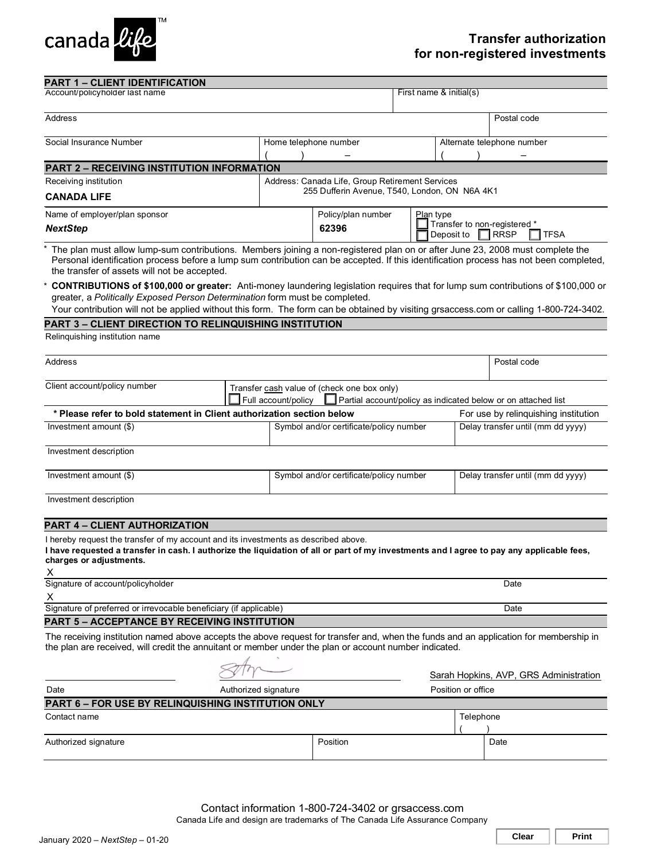

#### Account/policyholder last name First name & initial(s) Address Postal code in the contract of the contract of the contract of the code in the code of the code in the code in the code in the code in the code in the code in the code in the code in the code in the code in the cod Social Insurance Number **Home telephone number** Home telephone number ( ) – Alternate telephone number ( ) – Relinquishing institution name Address Postal code **Postal code Postal code Postal code Postal code** Postal code Postal code Postal code Postal code Client account/policy number Investment amount (\$) Symbol and/or certificate/policy number Delay transfer until (mm dd yyyy) Investment description Investment amount (\$) Symbol and/or certificate/policy number Delay transfer until (mm dd yyyy) Investment description X Signature of account/policyholder **Date** Date of account/policyholder **Date** Date of a count/policyholder **Date** X Signature of preferred or irrevocable beneficiary (if applicable) Date Date **PART 1 – CLIENT IDENTIFICATION PART 2 – RECEIVING INSTITUTION INFORMATION**  Receiving institution **CANADA LIFE**  Address: Canada Life, Group Retirement Services 255 Dufferin Avenue, T540, London, ON N6A 4K1 Name of employer/plan sponsor *NextStep*  Policy/plan number **62396** Plan type Transfer to non-registered \* Deposit to | \* The plan must allow lump-sum contributions. Members joining a non-registered plan on or after June 23, 2008 must complete the Personal identification process before a lump sum contribution can be accepted. If this identification process has not been completed, the transfer of assets will not be accepted. \* **CONTRIBUTIONS of \$100,000 or greater:** Anti-money laundering legislation requires that for lump sum contributions of \$100,000 or greater, a *Politically Exposed Person Determination* form must be completed. Your contribution will not be applied without this form. The form can be obtained by visiting grsaccess.com or calling 1-800-724-3402.  $\Box$ RRSP  $\Box$  TFSA **PART 3 – CLIENT DIRECTION TO RELINQUISHING INSTITUTION**  Transfer cash value of (check one box only) Full account/policy  $\Box$  Partial account/policy as indicated below or on attached list \* Please refer to bold statement in Client authorization section below **Follow** For use by relinquishing institution **PART 4 – CLIENT AUTHORIZATION**  I hereby request the transfer of my account and its investments as described above. **I have requested a transfer in cash. I authorize the liquidation of all or part of my investments and I agree to pay any applicable fees, charges or adjustments. PART 5 – ACCEPTANCE BY RECEIVING INSTITUTION**  The receiving institution named above accepts the above request for transfer and, when the funds and an application for membership in the plan are received, will credit the annuitant or member under the plan or account number indicated. Authorized signature **Authorized** Signature **Position** or office Sarah Hopkins, AVP, GRS Administration **PART 6 - FOR USE BY RELINQUISHING INSTITUTION ONLY** Contact name Telephone Telephone Telephone Telephone Telephone Telephone Telephone  $($  ) Authorized signature **Position** Date **Position** Position **Position Position Date**

Contact information 1-800-724-3402 or grsaccess.com

Canada Life and design are trademarks of The Canada Life Assurance Company